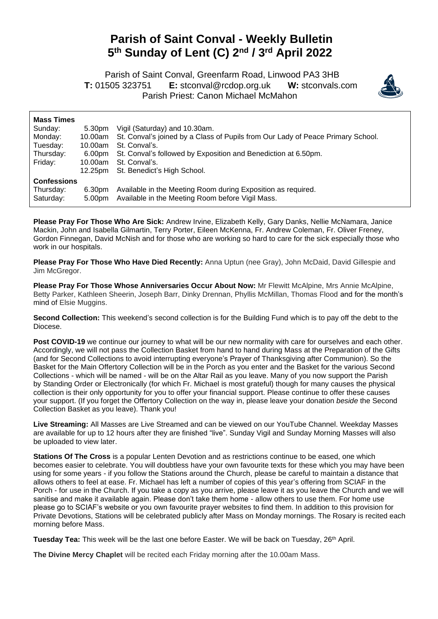## **Parish of Saint Conval - Weekly Bulletin 5 th Sunday of Lent (C) 2 nd / 3 rd April 2022**

 Parish of Saint Conval, Greenfarm Road, Linwood PA3 3HB **T:** 01505 323751 **E:** [stconval@rcdop.org.uk](mailto:stconval@rcdop.org.uk) **W:** stconvals.com Parish Priest: Canon Michael McMahon



| <b>Mass Times</b>                            | 5.30pm           | Vigil (Saturday) and 10.30am.                                                                                    |
|----------------------------------------------|------------------|------------------------------------------------------------------------------------------------------------------|
| Sunday:                                      | 10.00am          | St. Conval's joined by a Class of Pupils from Our Lady of Peace Primary School.                                  |
| Monday:                                      | 10.00am          | St. Conval's.                                                                                                    |
| Tuesday:                                     | 6.00pm           | St. Conval's followed by Exposition and Benediction at 6.50pm.                                                   |
| Thursday:                                    | 10.00am          | St. Conval's.                                                                                                    |
| Friday:                                      | 12.25pm          | St. Benedict's High School.                                                                                      |
| <b>Confessions</b><br>Thursday:<br>Saturday: | 6.30pm<br>5.00pm | Available in the Meeting Room during Exposition as required.<br>Available in the Meeting Room before Vigil Mass. |

**Please Pray For Those Who Are Sick:** Andrew Irvine, Elizabeth Kelly, Gary Danks, Nellie McNamara, Janice Mackin, John and Isabella Gilmartin, Terry Porter, Eileen McKenna, Fr. Andrew Coleman, Fr. Oliver Freney, Gordon Finnegan, David McNish and for those who are working so hard to care for the sick especially those who work in our hospitals.

**Please Pray For Those Who Have Died Recently:** Anna Uptun (nee Gray), John McDaid, David Gillespie and Jim McGregor.

**Please Pray For Those Whose Anniversaries Occur About Now:** Mr Flewitt McAlpine, Mrs Annie McAlpine, Betty Parker, Kathleen Sheerin, Joseph Barr, Dinky Drennan, Phyllis McMillan, Thomas Flood and for the month's mind of Elsie Muggins.

**Second Collection:** This weekend's second collection is for the Building Fund which is to pay off the debt to the Diocese.

Post COVID-19 we continue our journey to what will be our new normality with care for ourselves and each other. Accordingly, we will not pass the Collection Basket from hand to hand during Mass at the Preparation of the Gifts (and for Second Collections to avoid interrupting everyone's Prayer of Thanksgiving after Communion). So the Basket for the Main Offertory Collection will be in the Porch as you enter and the Basket for the various Second Collections - which will be named - will be on the Altar Rail as you leave. Many of you now support the Parish by Standing Order or Electronically (for which Fr. Michael is most grateful) though for many causes the physical collection is their only opportunity for you to offer your financial support. Please continue to offer these causes your support. (If you forget the Offertory Collection on the way in, please leave your donation *beside* the Second Collection Basket as you leave). Thank you!

**Live Streaming:** All Masses are Live Streamed and can be viewed on our YouTube Channel. Weekday Masses are available for up to 12 hours after they are finished "live". Sunday Vigil and Sunday Morning Masses will also be uploaded to view later.

**Stations Of The Cross** is a popular Lenten Devotion and as restrictions continue to be eased, one which becomes easier to celebrate. You will doubtless have your own favourite texts for these which you may have been using for some years - if you follow the Stations around the Church, please be careful to maintain a distance that allows others to feel at ease. Fr. Michael has left a number of copies of this year's offering from SCIAF in the Porch - for use in the Church. If you take a copy as you arrive, please leave it as you leave the Church and we will sanitise and make it available again. Please don't take them home - allow others to use them. For home use please go to SCIAF's website or you own favourite prayer websites to find them. In addition to this provision for Private Devotions, Stations will be celebrated publicly after Mass on Monday mornings. The Rosary is recited each morning before Mass.

Tuesday Tea: This week will be the last one before Easter. We will be back on Tuesday, 26<sup>th</sup> April.

**The Divine Mercy Chaplet** will be recited each Friday morning after the 10.00am Mass.